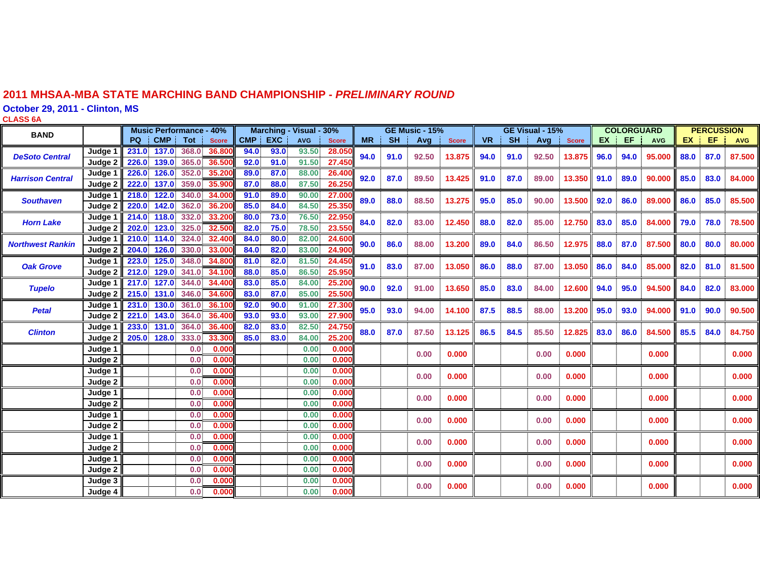#### **2011 MHSAA-MBA STATE MARCHING BAND CHAMPIONSHIP -** *PRELIMINARY ROUND*

**October 29, 2011 - Clinton, MS**

**CLASS 6 A**

| <b>BAND</b>             |         | <b>Music Performance - 40%</b>          |       | Marching - Visual - 30% |            |              | <b>GE Music - 15%</b> |           |       | GE Visual - 15% |           |           |       | <b>COLORGUARD</b> |      |      | <b>PERCUSSION</b> |      |      |            |
|-------------------------|---------|-----------------------------------------|-------|-------------------------|------------|--------------|-----------------------|-----------|-------|-----------------|-----------|-----------|-------|-------------------|------|------|-------------------|------|------|------------|
|                         |         | PQ<br><b>CMP</b><br>Tot<br><b>Score</b> |       | CMP  <br><b>EXC</b>     | <b>AVG</b> | <b>Score</b> | <b>MR</b>             | <b>SH</b> | Avg   | <b>Score</b>    | <b>VR</b> | <b>SH</b> | Avg   | <b>Score</b>      | EX.  | EF.  | <b>AVG</b>        | EX.  | EF.  | <b>AVG</b> |
| <b>DeSoto Central</b>   | Judge 1 | 137.0<br>368.0<br>36,800<br>231.0       |       | 94.0<br>93.0            | 93.50      | 28.050       | 94.0                  | 91.0      | 92.50 | 13.875          | 94.0      | 91.0      | 92.50 | 13.875            | 96.0 | 94.0 | 95.000            | 88.0 | 87.0 | 87.500     |
|                         | Judge 2 | 226.0<br>139.0<br>365.0<br>36.500       |       | 92.0<br>91.0            | 91.50      | 27.450       |                       |           |       |                 |           |           |       |                   |      |      |                   |      |      |            |
| <b>Harrison Central</b> | Judge 1 | 226.0<br>126.0<br>352.0<br>35.200       |       | 89.0<br>87.0            | 88.00      | 26.40        | 92.0                  | 87.0      | 89.50 | 13.425          | 91.0      | 87.0      | 89.00 | 13.350            | 91.0 | 89.0 | 90.000            | 85.0 | 83.0 | 84.000     |
|                         | Judge 2 | 222.0<br>359.0<br>137.0<br>35.90        |       | 87.0<br>88.0            | 87.50      | 26.25        |                       |           |       |                 |           |           |       |                   |      |      |                   |      |      |            |
| <b>Southaven</b>        | Judge 1 | 122.0<br>340.0<br>34.000<br>218.0       |       | 91.0<br>89.0            | 90.00      | 27.00        | 89.0                  | 88.0      | 88.50 | 13.275          | 95.0      | 85.0      | 90.00 | 13.500            | 92.0 | 86.0 | 89.000            | 86.0 | 85.0 |            |
|                         | Judge 2 | 220.0<br>142.0<br>362.0<br>36,200       |       | 85.0<br>84.0            | 84.50      | 25.35        |                       |           |       |                 |           |           |       |                   |      |      |                   |      |      | 85.500     |
| <b>Horn Lake</b>        | Judge 1 | 332.0<br>33.200<br>118.0<br>214.0       |       | 80.0<br>73.0            | 76.50      | 22.95        | 84.0                  | 82.0      | 83.00 | 12.450          | 88.0      | 82.0      | 85.00 | 12.750            | 83.0 | 85.0 | 84,000            | 79.0 | 78.0 | 78.500     |
|                         | Judge 2 | 325.0<br>202.0<br>123.0<br>32.500       |       | 75.0<br>82.0            | 78.50      | 23.55        |                       |           |       |                 |           |           |       |                   |      |      |                   |      |      |            |
| <b>Northwest Rankin</b> | Judge 1 | 114.0<br>324.0<br>32,400<br>210.0       |       | 84.0<br>80.0            | 82.00      | 24.60        | 90.0                  | 86.0      | 88.00 | 13.200          | 89.0      | 84.0      | 86.50 | 12.975            | 88.0 | 87.0 | 87.500            | 80.0 | 80.0 | 80,000     |
|                         | Judge 2 | 204.0<br>126.0<br>330.0<br>33,000       |       | 84.0<br>82.0            | 83.00      | 24.900       |                       |           |       |                 |           |           |       |                   |      |      |                   |      |      |            |
| <b>Oak Grove</b>        | Judge 1 | 125.0<br>223.0<br>348.0<br>34.800       |       | 81.0<br>82.0            | 81.50      | 24.450       | 91.0                  | 83.0      | 87.00 | 13.050          | 86.0      | 88.0      | 87.00 | 13.050            | 86.0 | 84.0 | 85.000            | 82.0 | 81.0 | 81.500     |
|                         | Judge 2 | 212.0<br>129.0<br>341.0<br>34.100       |       | 88.0<br>85.0            | 86.50      | 25.95        |                       |           |       |                 |           |           |       |                   |      |      |                   |      |      |            |
| <b>Tupelo</b>           | Judge 1 | 217.0<br>127.0<br>344.0<br>34.400       |       | 83.0<br>85.0            | 84.00      | 25.20        | 90.0                  | 92.0      | 91.00 | 13.650          | 85.0      | 83.0      | 84.00 | 12.600            | 94.0 | 95.0 | 94.500            | 84.0 | 82.0 | 83,000     |
|                         | Judge 2 | 346.0<br>215.0<br>131.0<br>34.600       |       | 83.0<br>87.0            | 85.00      | 25.50        |                       |           |       |                 |           |           |       |                   |      |      |                   |      |      |            |
| <b>Petal</b>            | Judge 1 | 231.0<br>130.0<br>361.0 36.100          |       | 92.0<br>90.0            | 91.00      | 27.30        | 95.0                  | 93.0      | 94.00 | 14.100          | 87.5      | 88.5      | 88.00 | 13.200            | 95.0 | 93.0 | 94.000            | 91.0 | 90.0 | 90.500     |
|                         | Judge 2 | 364.0<br>221.0<br>143.0<br>36.400       |       | 93.0<br>93.0            | 93.00      | 27.90        |                       |           |       |                 |           |           |       |                   |      |      |                   |      |      |            |
| <b>Clinton</b>          | Judge 1 | 233.0<br>131.0<br>364.0<br>36.400       |       | 82.0<br>83.0            | 82.50      | 24.750       | 88.0                  | 87.0      | 87.50 | 13.125          | 86.5      | 84.5      | 85.50 | 12.825            | 83.0 | 86.0 | 84.500            | 85.5 | 84.0 | 84.750     |
|                         | Judge 2 | 205.0<br>128.0<br>333.0<br>33.300       |       | 85.0<br>83.0            | 84.00      | 25.200       |                       |           |       |                 |           |           |       |                   |      |      |                   |      |      |            |
|                         | Judge 1 | 0.0                                     | 0.000 |                         | 0.00       | 0.000        |                       |           | 0.00  | 0.000           |           |           | 0.00  | 0.000             |      |      | 0.000             |      |      | 0.000      |
|                         | Judge 2 | 0.0                                     | 0.000 |                         | 0.00       | 0.000        |                       |           |       |                 |           |           |       |                   |      |      |                   |      |      |            |
|                         | Judge 1 | 0.0 <sub>1</sub>                        | 0.000 |                         | 0.00       | 0.000        |                       |           | 0.00  | 0.000           |           |           | 0.00  | 0.000             |      |      | 0.000             |      |      | 0.000      |
|                         | Judge 2 | 0.0                                     | 0.000 |                         | 0.00       | 0.000        |                       |           |       |                 |           |           |       |                   |      |      |                   |      |      |            |
|                         | Judge 1 | 0.0                                     | 0.000 |                         | 0.00       | 0.000        |                       |           | 0.00  | 0.000           |           |           | 0.00  | 0.000             |      |      | 0.000             |      |      | 0.000      |
|                         | Judge 2 | 0.0                                     | 0.000 |                         | 0.00       | 0.000        |                       |           |       |                 |           |           |       |                   |      |      |                   |      |      |            |
|                         | Judge 1 | 0.0                                     | 0.000 |                         | 0.00       | 0.000        |                       |           | 0.00  | 0.000           |           |           | 0.00  | 0.000             |      |      | 0.000             |      |      | 0.000      |
|                         | Judge 2 | 0.0                                     | 0.000 |                         | 0.00       | 0.000        |                       |           |       |                 |           |           |       |                   |      |      |                   |      |      |            |
|                         | Judge 1 | 0.0 <sub>1</sub>                        | 0.000 |                         | 0.00       | 0.000        |                       |           | 0.00  | 0.000           |           |           | 0.00  | 0.000             |      |      | 0.000             |      |      | 0.000      |
|                         | Judge 2 | 0.0                                     | 0.000 |                         | 0.00       | 0.000        |                       |           |       |                 |           |           |       |                   |      |      |                   |      |      |            |
|                         | Judge 1 | 0.0                                     | 0.000 |                         | 0.00       | 0.000        |                       |           | 0.00  | 0.000           |           |           | 0.00  | 0.000             |      |      | 0.000             |      |      | 0.000      |
|                         | Judge 2 | 0.0                                     | 0.000 |                         | 0.00       | 0.000        |                       |           |       |                 |           |           |       |                   |      |      |                   |      |      |            |
|                         | Judge 3 | 0.0                                     | 0.000 |                         | 0.00       | 0.000        |                       |           | 0.00  | 0.000           |           |           | 0.00  | 0.000             |      |      | 0.000             |      |      | 0.000      |
|                         | Judge 4 | 0.0 <sub>1</sub>                        | 0.000 |                         | 0.00       | 0.000        |                       |           |       |                 |           |           |       |                   |      |      |                   |      |      |            |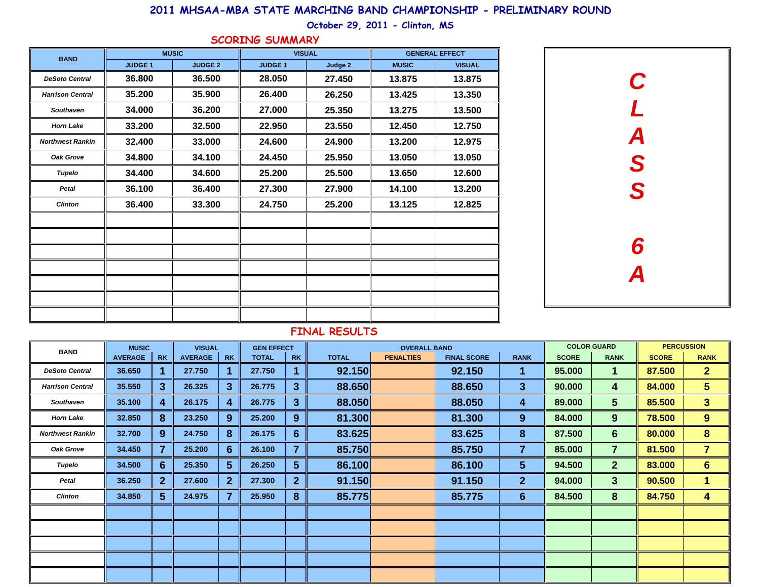## **2011 MHSAA-MBA STATE MARCHING BAND CHAMPIONSHIP - PRELIMINARY ROUND**

## **October 29, 2011 - Clinton, MS**

#### **SCORING SUMMARY**

| <b>BAND</b>             |                | <b>MUSIC</b>   | <b>VISUAL</b>  |         | <b>GENERAL EFFECT</b> |               |  |  |
|-------------------------|----------------|----------------|----------------|---------|-----------------------|---------------|--|--|
|                         | <b>JUDGE 1</b> | <b>JUDGE 2</b> | <b>JUDGE 1</b> | Judge 2 | <b>MUSIC</b>          | <b>VISUAL</b> |  |  |
| <b>DeSoto Central</b>   | 36.800         | 36.500         | 28.050         | 27.450  | 13.875                | 13.875        |  |  |
| <b>Harrison Central</b> | 35.200         | 35.900         | 26.400         | 26.250  | 13.425                | 13.350        |  |  |
| Southaven               | 34.000         | 36.200         | 27.000         | 25.350  | 13.275                | 13.500        |  |  |
| <b>Horn Lake</b>        | 33.200         | 32.500         | 22.950         | 23.550  | 12.450                | 12.750        |  |  |
| <b>Northwest Rankin</b> | 32.400         | 33.000         | 24.600         | 24.900  | 13.200                | 12.975        |  |  |
| Oak Grove               | 34.800         | 34.100         | 24.450         | 25.950  | 13.050                | 13.050        |  |  |
| Tupelo                  | 34.400         | 34.600         | 25.200         | 25.500  | 13.650                | 12.600        |  |  |
| Petal                   | 36.100         | 36.400         | 27.300         | 27.900  | 14.100                | 13.200        |  |  |
| <b>Clinton</b>          | 36.400         | 33.300         | 24.750         | 25.200  | 13.125                | 12.825        |  |  |
|                         |                |                |                |         |                       |               |  |  |
|                         |                |                |                |         |                       |               |  |  |
|                         |                |                |                |         |                       |               |  |  |
|                         |                |                |                |         |                       |               |  |  |
|                         |                |                |                |         |                       |               |  |  |
|                         |                |                |                |         |                       |               |  |  |
|                         |                |                |                |         |                       |               |  |  |

| $\mathbf L$<br>$\boldsymbol{A}$<br>S<br>S<br>6<br>$\overline{\mathsf{A}}$ |
|---------------------------------------------------------------------------|
|                                                                           |

### **FINAL RESULTS**

| <b>BAND</b>             | <b>MUSIC</b>   |                  | <b>VISUAL</b>  |              | <b>GEN EFFECT</b> |              |              | <b>COLOR GUARD</b> |                    | <b>PERCUSSION</b> |              |                |              |                |
|-------------------------|----------------|------------------|----------------|--------------|-------------------|--------------|--------------|--------------------|--------------------|-------------------|--------------|----------------|--------------|----------------|
|                         | <b>AVERAGE</b> | <b>RK</b>        | <b>AVERAGE</b> | <b>RK</b>    | <b>TOTAL</b>      | <b>RK</b>    | <b>TOTAL</b> | <b>PENALTIES</b>   | <b>FINAL SCORE</b> | <b>RANK</b>       | <b>SCORE</b> | <b>RANK</b>    | <b>SCORE</b> | <b>RANK</b>    |
| <b>DeSoto Central</b>   | 36.650         | 1                | 27.750         |              | 27.750            |              | 92.150       |                    | 92.150             | 1                 | 95.000       | 1              | 87.500       | 2 <sup>1</sup> |
| <b>Harrison Central</b> | 35.550         | 3 <sup>5</sup>   | 26.325         | 3            | 26.775            | 3            | 88.650       |                    | 88.650             | $\mathbf{3}$      | 90.000       | 4              | 84.000       | 5 <sup>5</sup> |
| <b>Southaven</b>        | 35.100         | 4                | 26.175         | 4            | 26.775            | 3            | 88.050       |                    | 88.050             | 4                 | 89.000       | 5 <sup>5</sup> | 85.500       | 3 <sup>5</sup> |
| <b>Horn Lake</b>        | 32.850         | 8                | 23.250         | 9            | 25.200            | 9            | 81.300       |                    | 81.300             | 9                 | 84.000       | 9              | 78.500       | $9^{\circ}$    |
| <b>Northwest Rankin</b> | 32.700         | $9^{\circ}$      | 24.750         | 8            | 26.175            | 6            | 83.625       |                    | 83.625             | 8                 | 87.500       | 6              | 80.000       | 8              |
| Oak Grove               | 34.450         | 7                | 25.200         | 6            | 26.100            |              | 85.750       |                    | 85.750             | 7                 | 85.000       | 7              | 81.500       | $\overline{7}$ |
| Tupelo                  | 34.500         | $6 \overline{6}$ | 25.350         | $5^{\circ}$  | 26.250            | 5            | 86.100       |                    | 86.100             | $5\phantom{.0}$   | 94.500       | $\mathbf{2}$   | 83.000       | 6 <sup>1</sup> |
| Petal                   | 36.250         | 2 <sup>2</sup>   | 27.600         | $\mathbf{2}$ | 27.300            | $\mathbf{2}$ | 91.150       |                    | 91.150             | 2 <sup>1</sup>    | 94.000       | 3              | 90.500       | 1              |
| <b>Clinton</b>          | 34.850         | 5 <sup>5</sup>   | 24.975         |              | 25.950            | 8            | 85.775       |                    | 85.775             | $6 \overline{6}$  | 84.500       | 8              | 84.750       | 4              |
|                         |                |                  |                |              |                   |              |              |                    |                    |                   |              |                |              |                |
|                         |                |                  |                |              |                   |              |              |                    |                    |                   |              |                |              |                |
|                         |                |                  |                |              |                   |              |              |                    |                    |                   |              |                |              |                |
|                         |                |                  |                |              |                   |              |              |                    |                    |                   |              |                |              |                |
|                         |                |                  |                |              |                   |              |              |                    |                    |                   |              |                |              |                |